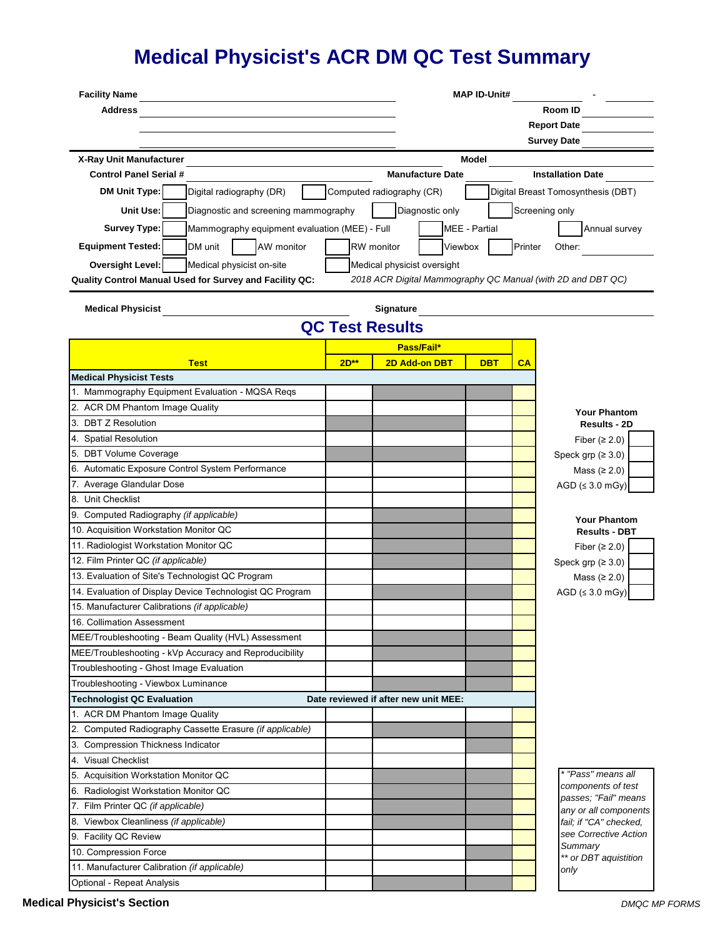## **Medical Physicist's ACR DM QC Test Summary**

| <b>Facility Name</b>                                                                               |        | <b>MAP ID-Unit#</b>                                          |                                      |         |                                               |  |  |
|----------------------------------------------------------------------------------------------------|--------|--------------------------------------------------------------|--------------------------------------|---------|-----------------------------------------------|--|--|
| <b>Address</b>                                                                                     |        |                                                              | <b>Room ID</b><br><b>Report Date</b> |         |                                               |  |  |
|                                                                                                    |        |                                                              |                                      |         |                                               |  |  |
|                                                                                                    |        |                                                              |                                      |         | <b>Survey Date</b>                            |  |  |
| X-Ray Unit Manufacturer                                                                            |        |                                                              |                                      |         |                                               |  |  |
| <b>Control Panel Serial #</b>                                                                      |        | Model<br><b>Manufacture Date</b><br><b>Installation Date</b> |                                      |         |                                               |  |  |
| <b>DM Unit Type:</b>                                                                               |        | Computed radiography (CR)                                    |                                      |         | Digital Breast Tomosynthesis (DBT)            |  |  |
| Digital radiography (DR)                                                                           |        |                                                              |                                      |         |                                               |  |  |
| Unit Use:<br>Diagnostic and screening mammography                                                  |        | Diagnostic only                                              |                                      |         | Screening only                                |  |  |
| <b>Survey Type:</b><br>Mammography equipment evaluation (MEE) - Full                               |        |                                                              | <b>MEE</b> - Partial                 |         | Annual survey                                 |  |  |
| <b>Equipment Tested:</b><br>DM unit<br>AW monitor                                                  |        | RW monitor<br>Viewbox                                        |                                      | Printer | Other:                                        |  |  |
| <b>Oversight Level:</b><br>Medical physicist on-site                                               |        | Medical physicist oversight                                  |                                      |         |                                               |  |  |
| Quality Control Manual Used for Survey and Facility QC:                                            |        | 2018 ACR Digital Mammography QC Manual (with 2D and DBT QC)  |                                      |         |                                               |  |  |
|                                                                                                    |        |                                                              |                                      |         |                                               |  |  |
| <b>Medical Physicist</b>                                                                           |        | Signature                                                    |                                      |         |                                               |  |  |
|                                                                                                    |        | <b>QC Test Results</b>                                       |                                      |         |                                               |  |  |
|                                                                                                    |        | Pass/Fail*                                                   |                                      |         |                                               |  |  |
| <b>Test</b>                                                                                        | $2D**$ | 2D Add-on DBT                                                | <b>DBT</b>                           | CA      |                                               |  |  |
| <b>Medical Physicist Tests</b>                                                                     |        |                                                              |                                      |         |                                               |  |  |
| 1. Mammography Equipment Evaluation - MQSA Reqs                                                    |        |                                                              |                                      |         |                                               |  |  |
| 2. ACR DM Phantom Image Quality                                                                    |        |                                                              |                                      |         | <b>Your Phantom</b>                           |  |  |
| 3. DBT Z Resolution                                                                                |        |                                                              |                                      |         | Results - 2D                                  |  |  |
| 4. Spatial Resolution                                                                              |        |                                                              |                                      |         | Fiber ( $\geq$ 2.0)                           |  |  |
| 5. DBT Volume Coverage                                                                             |        |                                                              |                                      |         | Speck grp $(≥ 3.0)$                           |  |  |
| 6. Automatic Exposure Control System Performance                                                   |        |                                                              |                                      |         | Mass $(≥ 2.0)$                                |  |  |
| 7. Average Glandular Dose                                                                          |        |                                                              |                                      |         | AGD $(≤ 3.0$ mGy)                             |  |  |
| 8. Unit Checklist                                                                                  |        |                                                              |                                      |         |                                               |  |  |
| 9. Computed Radiography (if applicable)                                                            |        |                                                              |                                      |         | <b>Your Phantom</b>                           |  |  |
| 10. Acquisition Workstation Monitor QC                                                             |        |                                                              |                                      |         | <b>Results - DBT</b>                          |  |  |
| 11. Radiologist Workstation Monitor QC                                                             |        |                                                              |                                      |         | Fiber ( $\geq$ 2.0)                           |  |  |
| 12. Film Printer QC (if applicable)                                                                |        |                                                              |                                      |         | Speck grp $(≥ 3.0)$                           |  |  |
| 13. Evaluation of Site's Technologist QC Program                                                   |        |                                                              |                                      |         | Mass $(≥ 2.0)$                                |  |  |
| 14. Evaluation of Display Device Technologist QC Program                                           |        |                                                              |                                      |         | AGD $(s 3.0$ mGy)                             |  |  |
| 15. Manufacturer Calibrations (if applicable)                                                      |        |                                                              |                                      |         |                                               |  |  |
| 16. Collimation Assessment                                                                         |        |                                                              |                                      |         |                                               |  |  |
| MEE/Troubleshooting - Beam Quality (HVL) Assessment                                                |        |                                                              |                                      |         |                                               |  |  |
| MEE/Troubleshooting - kVp Accuracy and Reproducibility<br>Troubleshooting - Ghost Image Evaluation |        |                                                              |                                      |         |                                               |  |  |
| Troubleshooting - Viewbox Luminance                                                                |        |                                                              |                                      |         |                                               |  |  |
| <b>Technologist QC Evaluation</b>                                                                  |        | Date reviewed if after new unit MEE:                         |                                      |         |                                               |  |  |
| 1. ACR DM Phantom Image Quality                                                                    |        |                                                              |                                      |         |                                               |  |  |
| 2. Computed Radiography Cassette Erasure (if applicable)                                           |        |                                                              |                                      |         |                                               |  |  |
| 3. Compression Thickness Indicator                                                                 |        |                                                              |                                      |         |                                               |  |  |
| 4. Visual Checklist                                                                                |        |                                                              |                                      |         |                                               |  |  |
| 5. Acquisition Workstation Monitor QC                                                              |        |                                                              |                                      |         | * "Pass" means all                            |  |  |
| 6. Radiologist Workstation Monitor QC                                                              |        |                                                              |                                      |         | components of test                            |  |  |
| 7. Film Printer QC (if applicable)                                                                 |        |                                                              |                                      |         | passes; "Fail" means<br>any or all components |  |  |
| 8. Viewbox Cleanliness (if applicable)                                                             |        |                                                              |                                      |         | fail; if "CA" checked,                        |  |  |
| 9. Facility QC Review                                                                              |        |                                                              |                                      |         | see Corrective Action                         |  |  |
| 10. Compression Force                                                                              |        |                                                              |                                      |         | Summary                                       |  |  |
| 11. Manufacturer Calibration (if applicable)                                                       |        |                                                              |                                      |         | ** or DBT aquistition<br>only                 |  |  |
| Optional - Repeat Analysis                                                                         |        |                                                              |                                      |         |                                               |  |  |

**Medical Physicist's Section** *DMQC MP FORMS*